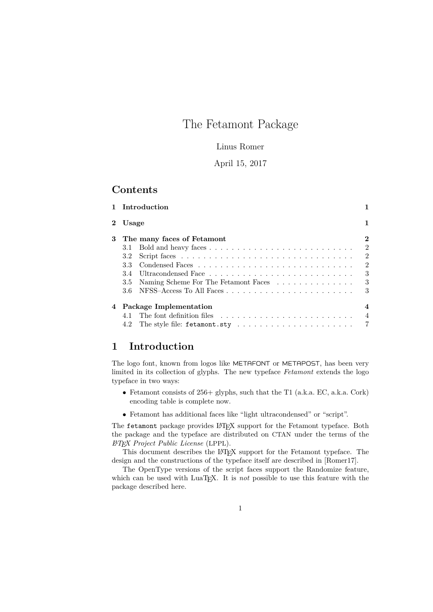## The Fetamont Package

### Linus Romer

### April 15, 2017

### **Contents**

|   |                                        | 1 Introduction                                                                         |                  |  |  |  |
|---|----------------------------------------|----------------------------------------------------------------------------------------|------------------|--|--|--|
|   | 2 Usage                                |                                                                                        | 1                |  |  |  |
| 3 | $\bf{2}$<br>The many faces of Fetamont |                                                                                        |                  |  |  |  |
|   |                                        |                                                                                        | $\mathfrak{D}$   |  |  |  |
|   | 3.2                                    |                                                                                        | $\overline{2}$   |  |  |  |
|   | 33                                     |                                                                                        | $\overline{2}$   |  |  |  |
|   | 3.4                                    |                                                                                        | 3                |  |  |  |
|   | 3.5                                    | Naming Scheme For The Fetamont Faces                                                   | 3                |  |  |  |
|   |                                        |                                                                                        | 3                |  |  |  |
|   |                                        | 4 Package Implementation                                                               | $\boldsymbol{4}$ |  |  |  |
|   |                                        |                                                                                        | -4               |  |  |  |
|   | 4.2                                    | The style file: fetamont.sty $\ldots \ldots \ldots \ldots \ldots \ldots \ldots \ldots$ |                  |  |  |  |

## **1 Introduction**

The logo font, known from logos like METAFONT or METAPOST, has been very limited in its collection of glyphs. The new typeface *Fetamont* extends the logo typeface in two ways:

- Fetamont consists of 256+ glyphs, such that the T1 (a.k.a. EC, a.k.a. Cork) encoding table is complete now.
- Fetamont has additional faces like "light ultracondensed" or "script".

The fetamont package provides LATEX support for the Fetamont typeface. Both the package and the typeface are distributed on CTAN under the terms of the *L<sup>A</sup>TEX Project Public License* (LPPL).

This document describes the LAT<sub>EX</sub> support for the Fetamont typeface. The design and the constructions of the typeface itself are described in [Romer17].

The OpenType versions of the script faces support the Randomize feature, which can be used with LuaTEX. It is *not* possible to use this feature with the package described here.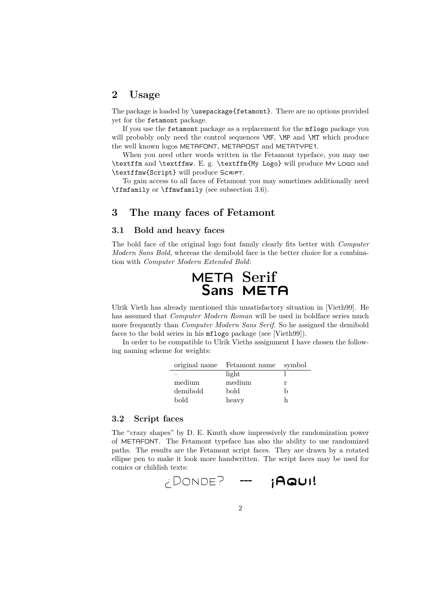### **2 Usage**

The package is loaded by \usepackage{fetamont}. There are no options provided yet for the fetamont package.

If you use the fetamont package as a replacement for the mflogo package you will probably only need the control sequences **\MF**, **\MP** and **\MT** which produce the well known logos METAFONT, METAPOST and METATYPE1.

When you need other words written in the Fetamont typeface, you may use \textffm and \textffmw. E. g. \textffm{My Logo} will produce My Logo and \textffmw{Script} will produce Script.

To gain access to all faces of Fetamont you may sometimes additionally need \ffmfamily or \ffmwfamily (see subsection 3.6).

### **3 The many faces of Fetamont**

#### **3.1 Bold and heavy faces**

The bold face of the original logo font family clearly fits better with *Computer Modern Sans Bold*, whereas the demibold face is the better choice for a combination with *Computer Modern Extended Bold*:



Ulrik Vieth has already mentioned this unsatisfactory situation in [Vieth99]. He has assumed that *Computer Modern Roman* will be used in boldface series much more frequently than *Computer Modern Sans Serif*. So he assigned the demibold faces to the bold series in his mflogo package (see [Vieth99]).

In order to be compatible to Ulrik Vieths assignment I have chosen the following naming scheme for weights:

| original name            | Fetamont name | symbol |
|--------------------------|---------------|--------|
| $\overline{\phantom{a}}$ | light         |        |
| medium                   | medium        | r      |
| demibold                 | bold          | h      |
| bold                     | heavy         |        |

#### **3.2 Script faces**

The "crazy shapes" by D. E. Knuth show impressively the randomization power of METAFONT. The Fetamont typeface has also the ability to use randomized paths. The results are the Fetamont script faces. They are drawn by a rotated ellipse pen to make it look more handwritten. The script faces may be used for comics or childish texts:

$$
\text{conv}_{\text{C}} = \text{conv}_{\text{C}} \cdot \text{conv}_{\text{C}} \cdot \text{conv}_{\text{C}} \cdot \text{conv}_{\text{C}} \cdot \text{conv}_{\text{C}} \cdot \text{conv}_{\text{C}} \cdot \text{conv}_{\text{C}} \cdot \text{conv}_{\text{C}} \cdot \text{conv}_{\text{C}} \cdot \text{conv}_{\text{C}} \cdot \text{conv}_{\text{C}} \cdot \text{conv}_{\text{C}} \cdot \text{conv}_{\text{C}} \cdot \text{conv}_{\text{C}} \cdot \text{conv}_{\text{C}} \cdot \text{conv}_{\text{C}} \cdot \text{conv}_{\text{C}} \cdot \text{conv}_{\text{C}} \cdot \text{conv}_{\text{C}} \cdot \text{conv}_{\text{C}} \cdot \text{conv}_{\text{C}} \cdot \text{conv}_{\text{C}} \cdot \text{conv}_{\text{C}} \cdot \text{conv}_{\text{C}} \cdot \text{conv}_{\text{C}} \cdot \text{conv}_{\text{C}} \cdot \text{conv}_{\text{C}} \cdot \text{conv}_{\text{C}} \cdot \text{conv}_{\text{C}} \cdot \text{conv}_{\text{C}} \cdot \text{conv}_{\text{C}} \cdot \text{conv}_{\text{C}} \cdot \text{conv}_{\text{C}} \cdot \text{conv}_{\text{C}} \cdot \text{conv}_{\text{C}} \cdot \text{conv}_{\text{C}} \cdot \text{conv}_{\text{C}} \cdot \text{conv}_{\text{C}} \cdot \text{conv}_{\text{C}} \cdot \text{conv}_{\text{C}} \cdot \text{conv}_{\text{C}} \cdot \text{conv}_{\text{C}} \cdot \text{conv}_{\text{C}} \cdot \text{conv}_{\text{C}} \cdot \text{conv}_{\text{C}} \cdot \text{conv}_{\text{C}} \cdot \text{conv}_{\text{C}} \cdot \text{conv}_{\text{C}} \cdot \text{conv}_{\text{C}} \cdot \text{conv}_{\text{C}} \cdot \text{conv}_{\text{C}} \cdot \text{conv}_{\text{C}} \cdot \text{conv}_{\text{C}} \cdot \text{conv}_{\text{C}} \cdot \text{conv}_{\text{C}} \cdot \text{conv}_{\text{C}} \cdot \text{conv}_{\text{C}} \cdot \text{conv}_{\text{C}} \cdot \text{conv}_{\text{C}} \cdot \text{conv}_{\text{C}} \cdot \text{conv}_{\text{C}} \cdot \text{conv}_{\text{C}} \cdot \text{conv}_{
$$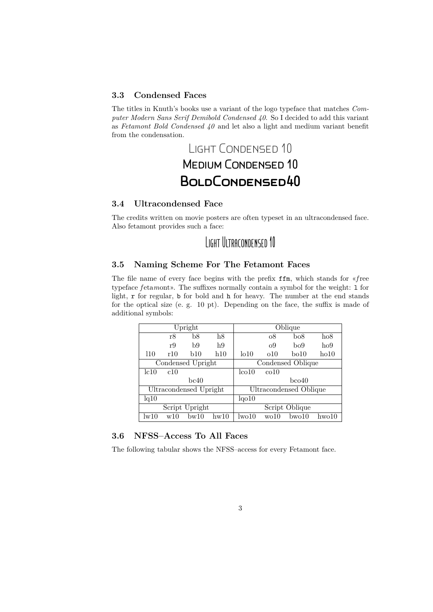### **3.3 Condensed Faces**

The titles in Knuth's books use a variant of the logo typeface that matches *Computer Modern Sans Serif Demibold Condensed 40*. So I decided to add this variant as *Fetamont Bold Condensed 40* and let also a light and medium variant benefit from the condensation.

# Light Condensed 10 **MEDIUM CONDENSED 10 BoldCondensed40**

### **3.4 Ultracondensed Face**

The credits written on movie posters are often typeset in an ultracondensed face. Also fetamont provides such a face:

## Light Ultracondensed 10

#### **3.5 Naming Scheme For The Fetamont Faces**

The file name of every face begins with the prefix ffm, which stands for «*f*ree typeface *f* etamont». The suffixes normally contain a symbol for the weight: 1 for light, r for regular, b for bold and h for heavy. The number at the end stands for the optical size (e. g. 10 pt). Depending on the face, the suffix is made of additional symbols:

| Upright                |     |             |      |                    |                        | Oblique          |       |
|------------------------|-----|-------------|------|--------------------|------------------------|------------------|-------|
|                        | r8  | b8          | h8   |                    | $\sigma$ <sup>8</sup>  | b <sub>0</sub> 8 | ho8   |
|                        | r9  | b9          | h9   |                    | O <sub>9</sub>         | bo9              | ho9   |
| 110                    | r10 | <b>b</b> 10 | h10  | 1010               | 010                    | bo10             | ho10  |
| Condensed Upright      |     |             |      |                    | Condensed Oblique      |                  |       |
| lc10                   | c10 |             |      | $l_{\rm CO}10$     | co10                   |                  |       |
|                        |     | bc40        |      |                    |                        | $b$ co $40$      |       |
| Ultracondensed Upright |     |             |      |                    | Ultracondensed Oblique |                  |       |
| lq10                   |     |             |      | lqo10              |                        |                  |       |
| Script Upright         |     |             |      |                    | Script Oblique         |                  |       |
| lw10                   | w10 | bw10        | hw10 | 1w <sub>0</sub> 10 | wo10                   | $b$ wo $10$      | hwo10 |

### **3.6 NFSS–Access To All Faces**

The following tabular shows the NFSS–access for every Fetamont face.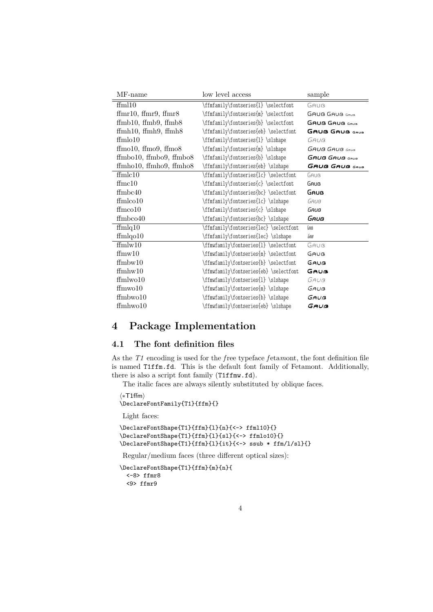| MF-name                      | low level access                       | sample                |
|------------------------------|----------------------------------------|-----------------------|
| ffm110                       | \ffmfamily\fontseries{1} \selectfont   | GAUB                  |
| ffmr10, ffmr9, ffmr8         | \ffmfamily\fontseries{m} \selectfont   | GAUB GAUB GAUB        |
| ffmb10, ffmb9, ffmb8         | \ffmfamily\fontseries{b} \selectfont   | <b>GAUB GAUB GAUB</b> |
| ffmh10, ffmh9, ffmh8         | \ffmfamily\fontseries{eb} \selectfont  | <b>GAUB GAUB GAUB</b> |
| ffmlo10                      | \ffmfamily\fontseries{1} \slshape      | GAUB                  |
| $ffmo10$ , $ffmo9$ , $ffmo8$ | \ffmfamily\fontseries{m} \slshape      | <b>GAUB GAUB</b> GAUB |
| ffmbo10, ffmbo9, ffmbo8      | \ffmfamily\fontseries{b}\slshape       | <b>GAUB GAUB</b> GAUB |
| ffmho10, ffmho9, ffmho8      | \ffmfamily\fontseries{eb}\slshape      | GAUB GAUB GAUB        |
| $f_{\text{fmlc10}}$          | \ffmfamily\fontseries{lc} \selectfont  | GAUB                  |
| $f_{\text{fmc}}$ 10          | \ffmfamily\fontseries{c} \selectfont   | GAUB                  |
| $f_{\text{Imbc}40}$          | \ffmfamily\fontseries{bc} \selectfont  | GAUB                  |
| $f_{\text{fmlco10}}$         | \ffmfamily\fontseries{lc} \slshape     | GAUB                  |
| $f_{\text{im} \text{co} 10}$ | \ffmfamily\fontseries{c}\slshape       | Gauß                  |
| $f$ fmbco $40$               | \ffmfamily\fontseries{bc}\slshape      | Gauß                  |
| $f_{mlq10}$                  | \ffmfamily\fontseries{lec}\selectfont  | GAUB                  |
| $f_{\text{m}}$ lqo $10$      | \ffmfamily\fontseries{lec}\slshape     | GAUB                  |
| ffmlw10                      | \ffmwfamily\fontseries{l} \selectfont  | GAUB                  |
| ffmw10                       | \ffmwfamily\fontseries{m} \selectfont  | GAUB                  |
| ffmbw10                      | \ffmwfamily\fontseries{b}\selectfont   | GAUB                  |
| ffmhw10                      | \ffmwfamily\fontseries{eb} \selectfont | GAUB                  |
| $f/m$ wo $10$                | \ffmwfamily\fontseries{l} \slshape     | GAUB                  |
| ffmwo10                      | \ffmwfamily\fontseries{m} \slshape     | GAUB                  |
| $f_{\text{Imbwo10}}$         | \ffmwfamily\fontseries{b}\slshape      | GAUB                  |
| $f_{mhw010}$                 | \ffmwfamily\fontseries{eb}\slshape     | Gauß                  |

## **4 Package Implementation**

### **4.1 The font definition files**

As the *T1* encoding is used for the *f*ree typeface *f* eta*m*ont, the font definition file is named T1ffm.fd. This is the default font family of Fetamont. Additionally, there is also a script font family (T1ffmw.fd).

The italic faces are always silently substituted by oblique faces.

h∗T1ffmi \DeclareFontFamily{T1}{ffm}{}

Light faces:

```
\DeclareFontShape{T1}{ffm}{l}{n}{<-> ffml10}{}
\DeclareFontShape{T1}{ffm}{l}{sl}{<-> ffmlo10}{}
\DeclareFontShape{T1}{ffm}{l}{it}{<-> ssub * ffm/l/sl}{}
```
Regular/medium faces (three different optical sizes):

```
\DeclareFontShape{T1}{ffm}{m}{n}{
 <-8> ffmr8
 <9> ffmr9
```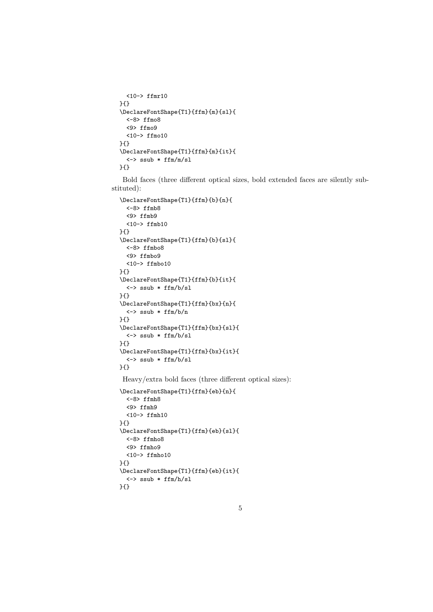```
<10-> ffmr10
}{}
\DeclareFontShape{T1}{ffm}{m}{sl}{
  <-8> ffmo8
  <9> ffmo9
  <10-> ffmo10
}{}
\DeclareFontShape{T1}{ffm}{m}{it}{
  <-> ssub * ffm/m/sl
}{}
```
Bold faces (three different optical sizes, bold extended faces are silently substituted):

```
\DeclareFontShape{T1}{ffm}{b}{n}{
  <-8> ffmb8
  <9> ffmb9
  <10-> ffmb10
}{}
\DeclareFontShape{T1}{ffm}{b}{sl}{
 <-8> ffmbo8
  <9> ffmbo9
 <10-> ffmbo10
}{}
\DeclareFontShape{T1}{ffm}{b}{it}{
  <-> ssub * ffm/b/sl
}{}
\DeclareFontShape{T1}{ffm}{bx}{n}{
  <-> ssub * ffm/b/n
}{}
\DeclareFontShape{T1}{ffm}{bx}{sl}{
 <-> ssub * ffm/b/sl
}{}
\DeclareFontShape{T1}{ffm}{bx}{it}{
 <-> ssub * ffm/b/sl
}{}
```
Heavy/extra bold faces (three different optical sizes):

```
\DeclareFontShape{T1}{ffm}{eb}{n}{
  <-8> ffmh8
  <9> ffmh9
  <10-> ffmh10
}{}
\DeclareFontShape{T1}{ffm}{eb}{sl}{
  <-8> ffmho8
  <9> ffmho9
  <10-> ffmho10
}{}
\DeclareFontShape{T1}{ffm}{eb}{it}{
  <-> ssub * ffm/h/sl
}{}
```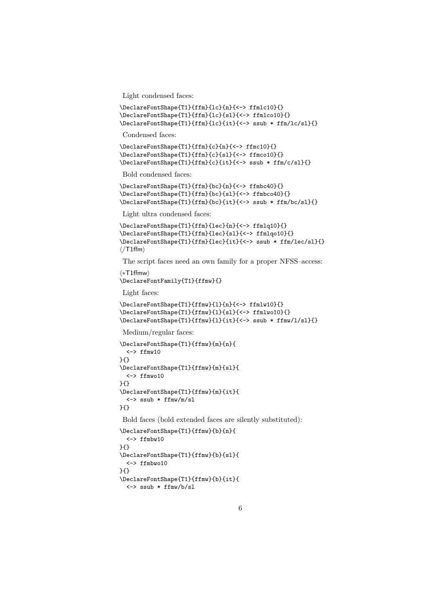Light condensed faces:

```
\DeclareFontShape{T1}{ffm}{lc}{n}{<-> ffmlc10}{}
\DeclareFontShape{T1}{ffm}{lc}{sl}{<-> ffmlco10}{}
\DeclareFontShape{T1}{ffm}{lc}{it}{<-> ssub * ffm/lc/sl}{}
```
Condensed faces:

```
\DeclareFontShape{T1}{ffm}{c}{n}{<-> ffmc10}{}
\DeclareFontShape{T1}{ffm}{c}{sl}{<-> ffmco10}{}
\DeclareFontShape{T1}{ffm}{c}{it}{<-> ssub * ffm/c/sl}{}
```
Bold condensed faces:

```
\DeclareFontShape{T1}{ffm}{bc}{n}{<-> ffmbc40}{}
\DeclareFontShape{T1}{ffm}{bc}{sl}{<-> ffmbco40}{}
\DeclareFontShape{T1}{ffm}{bc}{it}{<-> ssub * ffm/bc/sl}{}
```
Light ultra condensed faces:

```
\DeclareFontShape{T1}{ffm}{lec}{n}{<-> ffmlq10}{}
\DeclareFontShape{T1}{ffm}{lec}{sl}{<-> ffmlqo10}{}
\DeclareFontShape{T1}{ffm}{lec}{it}{<-> ssub * ffm/lec/sl}{}
\langle/T1ffm\rangle
```
The script faces need an own family for a proper NFSS–access:

```
h∗T1ffmwi
\DeclareFontFamily{T1}{ffmw}{}
```
Light faces:

```
\DeclareFontShape{T1}{ffmw}{l}{n}{<-> ffmlw10}{}
\DeclareFontShape{T1}{ffmw}{l}{sl}{<-> ffmlwo10}{}
\DeclareFontShape{T1}{ffmw}{l}{it}{<-> ssub * ffmw/l/sl}{}
```
Medium/regular faces:

```
\DeclareFontShape{T1}{ffmw}{m}{n}{
  <-> ffmw10
}{}
\DeclareFontShape{T1}{ffmw}{m}{sl}{
  <-> ffmwo10
}{}
\DeclareFontShape{T1}{ffmw}{m}{it}{
  <-> ssub * ffmw/m/sl
}{}
```
Bold faces (bold extended faces are silently substituted):

```
\DeclareFontShape{T1}{ffmw}{b}{n}{
  <-> ffmbw10
}{}
\DeclareFontShape{T1}{ffmw}{b}{sl}{
  <-> ffmbwo10
}{}
\DeclareFontShape{T1}{ffmw}{b}{it}{
 <-> ssub * ffmw/b/sl
```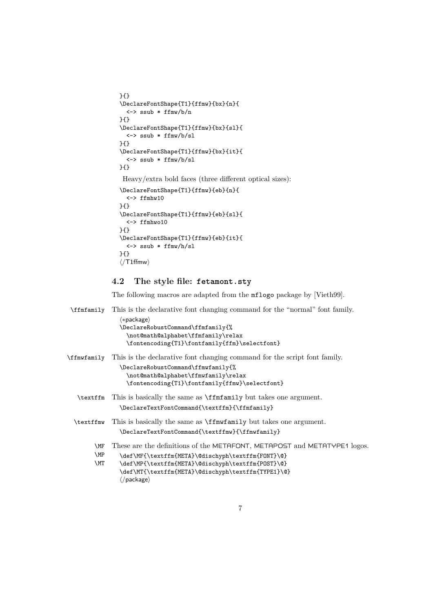```
}{}
\DeclareFontShape{T1}{ffmw}{bx}{n}{
  <-> ssub * ffmw/b/n
}{}
\DeclareFontShape{T1}{ffmw}{bx}{sl}{
  <-> ssub * ffmw/b/sl
}{}
\DeclareFontShape{T1}{ffmw}{bx}{it}{
  <-> ssub * ffmw/b/sl
}{}
Heavy/extra bold faces (three different optical sizes):
\DeclareFontShape{T1}{ffmw}{eb}{n}{
  <-> ffmhw10
}{}
\DeclareFontShape{T1}{ffmw}{eb}{sl}{
  <-> ffmhwo10
}{}
\DeclareFontShape{T1}{ffmw}{eb}{it}{
 <-> ssub * ffmw/h/sl
```
# **4.2 The style file: fetamont.sty**

}{}  $\langle$ /T1ffmw $\rangle$ 

The following macros are adapted from the mflogo package by [Vieth99].

```
\ffmfamily This is the declarative font changing command for the "normal" font family.
                h∗packagei
               \DeclareRobustCommand\ffmfamily{%
                 \not@math@alphabet\ffmfamily\relax
                 \fontencoding{T1}\fontfamily{ffm}\selectfont}
\ffmwfamily This is the declarative font changing command for the script font family.
               \DeclareRobustCommand\ffmwfamily{%
                  \not@math@alphabet\ffmwfamily\relax
                 \fontencoding{T1}\fontfamily{ffmw}\selectfont}
  \textffm This is basically the same as \ffmfamily but takes one argument.
                \DeclareTextFontCommand{\textffm}{\ffmfamily}
  \textffmw This is basically the same as \ffmwfamily but takes one argument.
                \DeclareTextFontCommand{\textffmw}{\ffmwfamily}
        \MF
These are the definitions of the METAFONT, METAPOST and METATYPE1 logos.
        \MP
        \MT
               \def\MF{\textffm{META}\@dischyph\textffm{FONT}\@}
               \def\MP{\textffm{META}\@dischyph\textffm{POST}\@}
               \def\MT{\textffm{META}\@dischyph\textffm{TYPE1}\@}
                \langle/package)
```